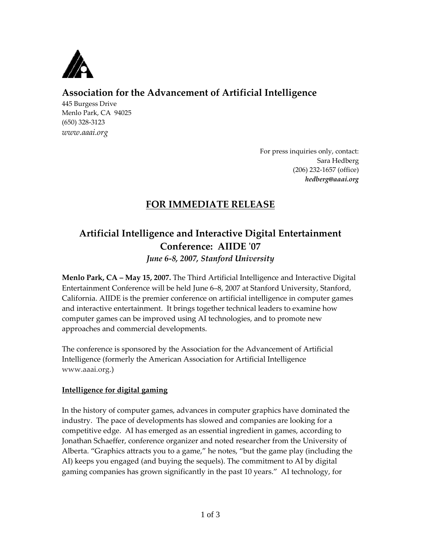

## **Association for the Advancement of Artificial Intelligence**

445 Burgess Drive Menlo Park, CA 94025 (650) 328-3123 *www.aaai.org*

> For press inquiries only, contact: Sara Hedberg (206) 232-1657 (office) *hedberg@aaai.org*

## **FOR IMMEDIATE RELEASE**

# **Artificial Intelligence and Interactive Digital Entertainment Conference: AIIDE '07**

*June 6-8, 2007, Stanford University*

**Menlo Park, CA – May 15, 2007.** The Third Artificial Intelligence and Interactive Digital Entertainment Conference will be held June 6–8, 2007 at Stanford University, Stanford, California. AIIDE is the premier conference on artificial intelligence in computer games and interactive entertainment. It brings together technical leaders to examine how computer games can be improved using AI technologies, and to promote new approaches and commercial developments.

The conference is sponsored by the Association for the Advancement of Artificial Intelligence (formerly the American Association for Artificial Intelligence [www.aaai.org.](http://www.aaai.org/))

## **Intelligence for digital gaming**

In the history of computer games, advances in computer graphics have dominated the industry. The pace of developments has slowed and companies are looking for a competitive edge. AI has emerged as an essential ingredient in games, according to Jonathan Schaeffer, conference organizer and noted researcher from the University of Alberta. 'Graphics attracts you to a game,' he notes, 'but the game play (including the AI) keeps you engaged (and buying the sequels). The commitment to AI by digital gaming companies has grown significantly in the past 10 years.' AI technology, for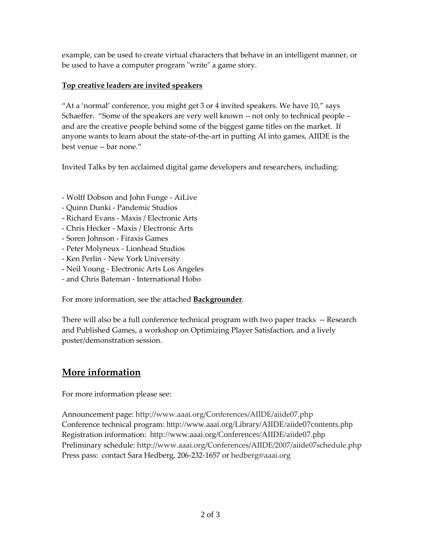example, can be used to create virtual characters that behave in an intelligent manner, or be used to have a computer program "write" a game story.

### **Top creative leaders are invited speakers**

'At a 'normal' conference, you might get 3 or 4 invited speakers. We have 10,' says Schaeffer. 'Some of the speakers are very well known -- not only to technical people – and are the creative people behind some of the biggest game titles on the market. If anyone wants to learn about the state-of-the-art in putting AI into games, AIIDE is the best venue -- bar none.'

Invited Talks by ten acclaimed digital game developers and researchers, including:

- Wolff Dobson and John Funge AiLive
- Quinn Dunki Pandemic Studios
- Richard Evans Maxis / Electronic Arts
- Chris Hecker Maxis / Electronic Arts
- Soren Johnson Firaxis Games
- Peter Molyneux Lionhead Studios
- Ken Perlin New York University
- Neil Young Electronic Arts Los Angeles
- and Chris Bateman International Hobo

For more information, see the attached **Backgrounder**.

There will also be a full conference technical program with two paper tracks -- Research and Published Games, a workshop on Optimizing Player Satisfaction, and a lively poster/demonstration session.

# **More information**

For more information please see:

Announcement page:<http://www.aaai.org/Conferences/AIIDE/aiide07.php> Conference technical program: <http://www.aaai.org/Library/AIIDE/aiide07contents.php> Registration information: <http://www.aaai.org/Conferences/AIIDE/aiide07.php> Preliminary schedule: <http://www.aaai.org/Conferences/AIIDE/2007/aiide07schedule.php> Press pass: contact Sara Hedberg, 206-232-1657 or [hedberg@aaai.org](mailto:hedberg@aaai.org)